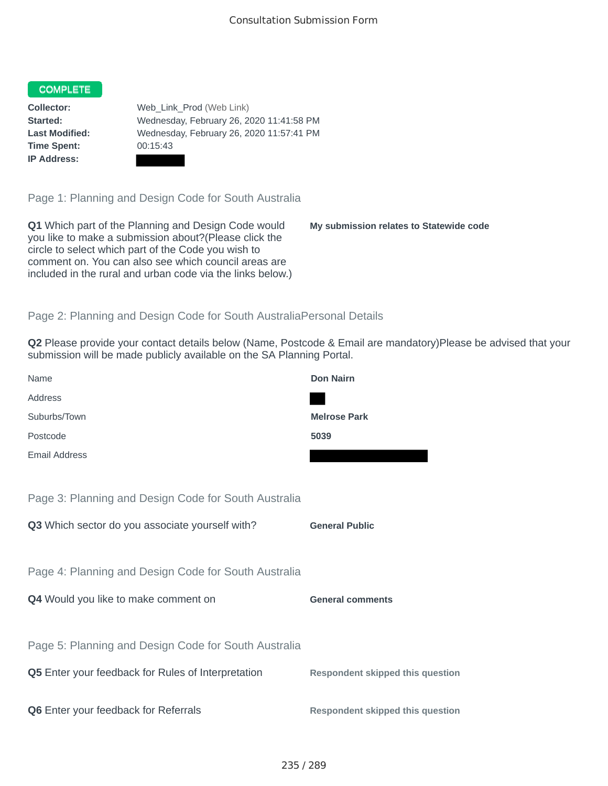## COMPLETE

**Time Spent:** 00:15:43 **IP Address:**

**Collector:** Web\_Link\_Prod (Web Link) **Started:** Wednesday, February 26, 2020 11:41:58 PM **Last Modified:** Wednesday, February 26, 2020 11:57:41 PM

Page 1: Planning and Design Code for South Australia

**Q1** Which part of the Planning and Design Code would you like to make a submission about?(Please click the circle to select which part of the Code you wish to comment on. You can also see which council areas are included in the rural and urban code via the links below.)

**My submission relates to Statewide code**

## Page 2: Planning and Design Code for South AustraliaPersonal Details

**Q2** Please provide your contact details below (Name, Postcode & Email are mandatory)Please be advised that your submission will be made publicly available on the SA Planning Portal.

| Name                                                      | <b>Don Nairn</b>                        |
|-----------------------------------------------------------|-----------------------------------------|
| Address                                                   |                                         |
| Suburbs/Town                                              | <b>Melrose Park</b>                     |
| Postcode                                                  | 5039                                    |
| <b>Email Address</b>                                      |                                         |
|                                                           |                                         |
| Page 3: Planning and Design Code for South Australia      |                                         |
| Q3 Which sector do you associate yourself with?           | <b>General Public</b>                   |
|                                                           |                                         |
| Page 4: Planning and Design Code for South Australia      |                                         |
| Q4 Would you like to make comment on                      | <b>General comments</b>                 |
|                                                           |                                         |
| Page 5: Planning and Design Code for South Australia      |                                         |
| <b>Q5</b> Enter your feedback for Rules of Interpretation | <b>Respondent skipped this question</b> |
|                                                           |                                         |
| Q6 Enter your feedback for Referrals                      | <b>Respondent skipped this question</b> |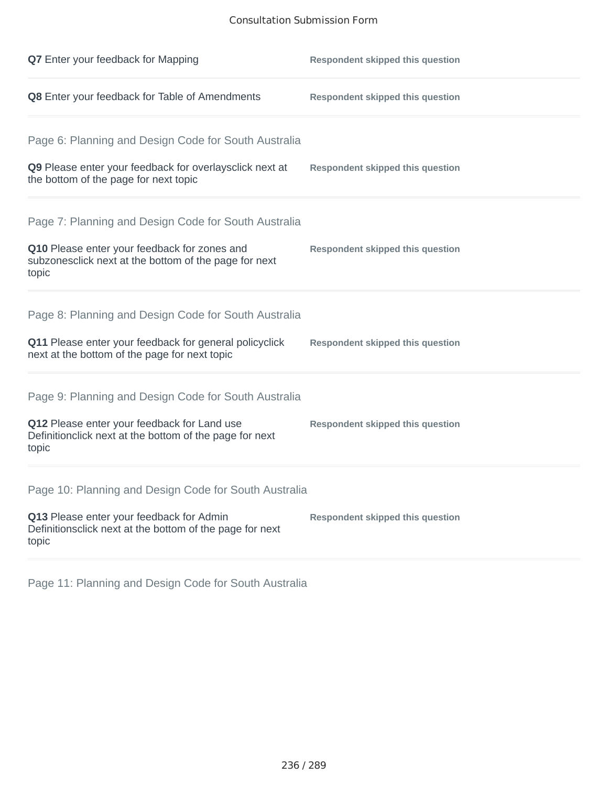# Consultation Submission Form

| <b>Q7</b> Enter your feedback for Mapping                                                                       | <b>Respondent skipped this question</b> |
|-----------------------------------------------------------------------------------------------------------------|-----------------------------------------|
| Q8 Enter your feedback for Table of Amendments                                                                  | <b>Respondent skipped this question</b> |
| Page 6: Planning and Design Code for South Australia                                                            |                                         |
| Q9 Please enter your feedback for overlaysclick next at<br>the bottom of the page for next topic                | <b>Respondent skipped this question</b> |
| Page 7: Planning and Design Code for South Australia                                                            |                                         |
| Q10 Please enter your feedback for zones and<br>subzonesclick next at the bottom of the page for next<br>topic  | <b>Respondent skipped this question</b> |
| Page 8: Planning and Design Code for South Australia                                                            |                                         |
| Q11 Please enter your feedback for general policyclick<br>next at the bottom of the page for next topic         | <b>Respondent skipped this question</b> |
| Page 9: Planning and Design Code for South Australia                                                            |                                         |
| Q12 Please enter your feedback for Land use<br>Definitionclick next at the bottom of the page for next<br>topic | <b>Respondent skipped this question</b> |
| Page 10: Planning and Design Code for South Australia                                                           |                                         |
| Q13 Please enter your feedback for Admin<br>Definitionsclick next at the bottom of the page for next<br>topic   | <b>Respondent skipped this question</b> |
|                                                                                                                 |                                         |

Page 11: Planning and Design Code for South Australia